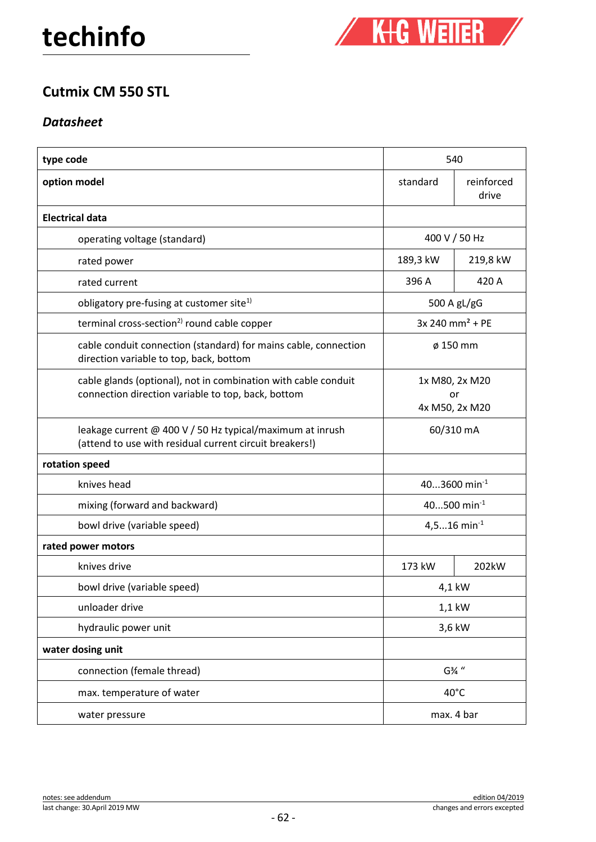

## **Cutmix CM 550 STL**

## *Datasheet*

| type code                                                                                                            | 540                                    |                     |
|----------------------------------------------------------------------------------------------------------------------|----------------------------------------|---------------------|
| option model                                                                                                         | standard                               | reinforced<br>drive |
| <b>Electrical data</b>                                                                                               |                                        |                     |
| operating voltage (standard)                                                                                         | 400 V / 50 Hz                          |                     |
| rated power                                                                                                          | 189,3 kW                               | 219,8 kW            |
| rated current                                                                                                        | 396 A                                  | 420 A               |
| obligatory pre-fusing at customer site <sup>1)</sup>                                                                 | 500 A gL/gG                            |                     |
| terminal cross-section <sup>2)</sup> round cable copper                                                              | $3x 240$ mm <sup>2</sup> + PE          |                     |
| cable conduit connection (standard) for mains cable, connection<br>direction variable to top, back, bottom           | ø 150 mm                               |                     |
| cable glands (optional), not in combination with cable conduit<br>connection direction variable to top, back, bottom | 1x M80, 2x M20<br>or<br>4x M50, 2x M20 |                     |
| leakage current @ 400 V / 50 Hz typical/maximum at inrush<br>(attend to use with residual current circuit breakers!) | 60/310 mA                              |                     |
| rotation speed                                                                                                       |                                        |                     |
| knives head                                                                                                          | 403600 min <sup>-1</sup>               |                     |
| mixing (forward and backward)                                                                                        | 40500 min-1                            |                     |
| bowl drive (variable speed)                                                                                          | 4,516 min <sup>-1</sup>                |                     |
| rated power motors                                                                                                   |                                        |                     |
| knives drive                                                                                                         | 173 kW                                 | 202kW               |
| bowl drive (variable speed)                                                                                          | 4,1 kW                                 |                     |
| unloader drive                                                                                                       | 1,1 kW                                 |                     |
| hydraulic power unit                                                                                                 | 3,6 kW                                 |                     |
| water dosing unit                                                                                                    |                                        |                     |
| connection (female thread)                                                                                           | G%"                                    |                     |
| max. temperature of water                                                                                            | 40°C                                   |                     |
| water pressure                                                                                                       | max. 4 bar                             |                     |